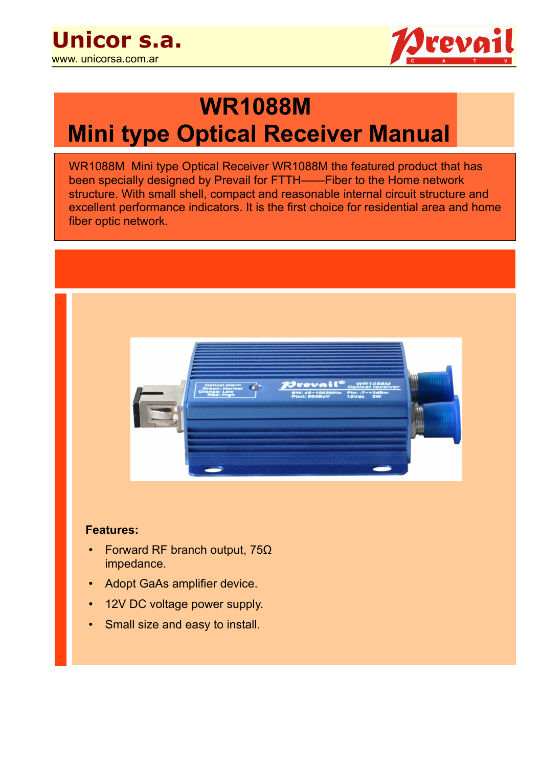

# **WR1088M Mini type Optical Receiver Manual**

WR1088M Mini type Optical Receiver WR1088M the featured product that has been specially designed by Prevail for FTTH——Fiber to the Home network structure. With small shell, compact and reasonable internal circuit structure and excellent performance indicators. It is the first choice for residential area and home fiber optic network.



#### **Features:**

- Forward RF branch output, 75Ω impedance.
- Adopt GaAs amplifier device.
- 12V DC voltage power supply.
- **Small size and easy to install.**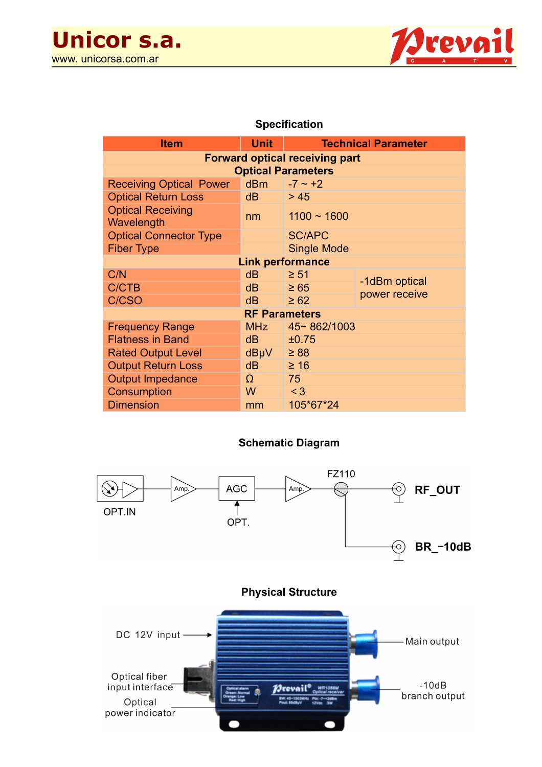

### **Specification**

| <b>Item</b>                            | <b>Unit</b>     | <b>Technical Parameter</b> |                                |
|----------------------------------------|-----------------|----------------------------|--------------------------------|
| <b>Forward optical receiving part</b>  |                 |                            |                                |
| <b>Optical Parameters</b>              |                 |                            |                                |
| <b>Receiving Optical Power</b>         | dB <sub>m</sub> | $-7 \sim +2$               |                                |
| <b>Optical Return Loss</b>             | dB              | > 45                       |                                |
| <b>Optical Receiving</b><br>Wavelength | nm              | $1100 - 1600$              |                                |
| <b>Optical Connector Type</b>          |                 | <b>SC/APC</b>              |                                |
| <b>Fiber Type</b>                      |                 | <b>Single Mode</b>         |                                |
| <b>Link performance</b>                |                 |                            |                                |
| C/N                                    | dB              | $\geq 51$                  |                                |
| <b>C/CTB</b>                           | dB              | $\geq 65$                  | -1dBm optical<br>power receive |
| C/CSO                                  | dB              | $\geq 62$                  |                                |
| <b>RF Parameters</b>                   |                 |                            |                                |
| <b>Frequency Range</b>                 | <b>MHz</b>      | 45~862/1003                |                                |
| <b>Flatness in Band</b>                | dB              | ±0.75                      |                                |
| <b>Rated Output Level</b>              | dBµV            | $\geq 88$                  |                                |
| <b>Output Return Loss</b>              | dB              | $\geq 16$                  |                                |
| <b>Output Impedance</b>                | Ω               | 75                         |                                |
| Consumption                            | W               | $<$ 3                      |                                |
| <b>Dimension</b>                       | mm              | 105*67*24                  |                                |

### **Schematic Diagram**